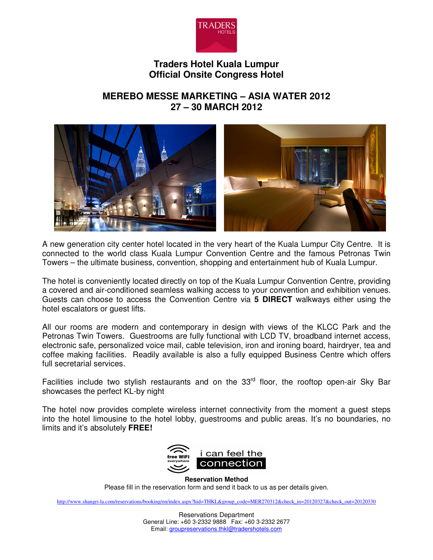

# **Traders Hotel Kuala Lumpur Official Onsite Congress Hotel**

# **MEREBO MESSE MARKETING – ASIA WATER 2012 27 – 30 MARCH 2012**



A new generation city center hotel located in the very heart of the Kuala Lumpur City Centre. It is connected to the world class Kuala Lumpur Convention Centre and the famous Petronas Twin Towers – the ultimate business, convention, shopping and entertainment hub of Kuala Lumpur.

The hotel is conveniently located directly on top of the Kuala Lumpur Convention Centre, providing a covered and air-conditioned seamless walking access to your convention and exhibition venues. Guests can choose to access the Convention Centre via **5 DIRECT** walkways either using the hotel escalators or guest lifts.

All our rooms are modern and contemporary in design with views of the KLCC Park and the Petronas Twin Towers. Guestrooms are fully functional with LCD TV, broadband internet access, electronic safe, personalized voice mail, cable television, iron and ironing board, hairdryer, tea and coffee making facilities. Readily available is also a fully equipped Business Centre which offers full secretarial services.

Facilities include two stylish restaurants and on the  $33<sup>rd</sup>$  floor, the rooftop open-air Sky Bar showcases the perfect KL-by night

The hotel now provides complete wireless internet connectivity from the moment a guest steps into the hotel limousine to the hotel lobby, guestrooms and public areas. It's no boundaries, no limits and it's absolutely **FREE!** 



**Reservation Method**

Please fill in the reservation form and send it back to us as per details given.

http://www.shangri-la.com/reservations/booking/en/index.aspx?hid=THKL&group\_code=MER270312&check\_in=20120327&check\_out=20120330